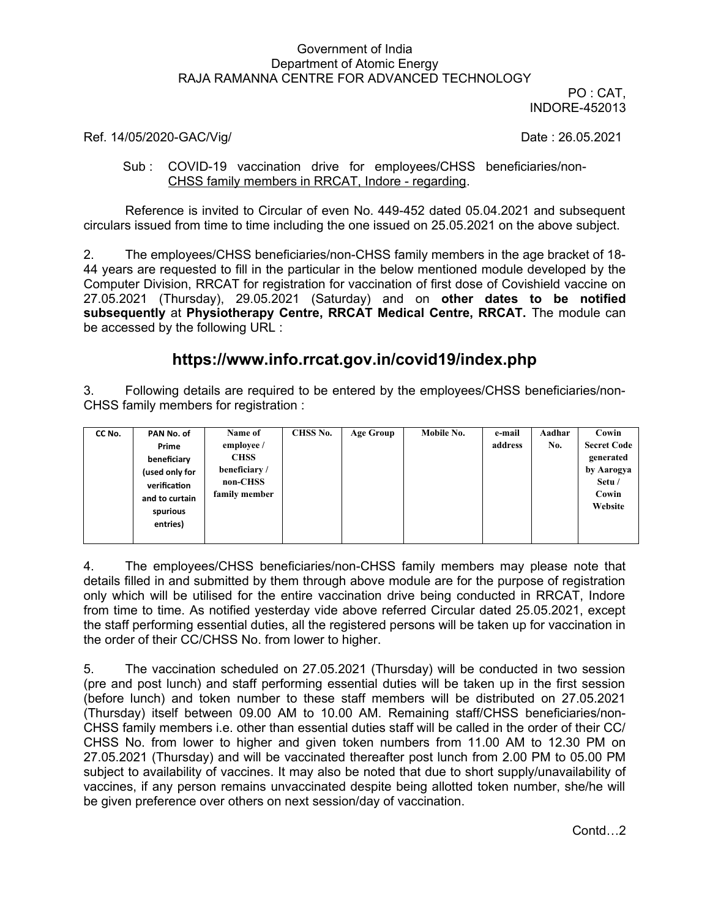## Government of India Department of Atomic Energy RAJA RAMANNA CENTRE FOR ADVANCED TECHNOLOGY

PO : CAT, INDORE-452013

## Ref. 14/05/2020-GAC/Vig/ Date: 26.05.2021

## Sub : COVID-19 vaccination drive for employees/CHSS beneficiaries/non-CHSS family members in RRCAT, Indore - regarding.

Reference is invited to Circular of even No. 449-452 dated 05.04.2021 and subsequent circulars issued from time to time including the one issued on 25.05.2021 on the above subject.

2. The employees/CHSS beneficiaries/non-CHSS family members in the age bracket of 18- 44 years are requested to fill in the particular in the below mentioned module developed by the Computer Division, RRCAT for registration for vaccination of first dose of Covishield vaccine on 27.05.2021 (Thursday), 29.05.2021 (Saturday) and on **other dates to be notified subsequently** at **Physiotherapy Centre, RRCAT Medical Centre, RRCAT.** The module can be accessed by the following URL :

# **https://www.info.rrcat.gov.in/covid19/index.php**

3. Following details are required to be entered by the employees/CHSS beneficiaries/non-CHSS family members for registration :

| CC No. | PAN No. of     | Name of       | CHSS No. | <b>Age Group</b> | Mobile No. | e-mail  | Aadhar | Cowin              |
|--------|----------------|---------------|----------|------------------|------------|---------|--------|--------------------|
|        | Prime          | employee /    |          |                  |            | address | No.    | <b>Secret Code</b> |
|        | beneficiary    | <b>CHSS</b>   |          |                  |            |         |        | generated          |
|        | (used only for | beneficiary/  |          |                  |            |         |        | by Aarogya         |
|        | verification   | non-CHSS      |          |                  |            |         |        | Setu /             |
|        | and to curtain | family member |          |                  |            |         |        | Cowin              |
|        | spurious       |               |          |                  |            |         |        | Website            |
|        | entries)       |               |          |                  |            |         |        |                    |
|        |                |               |          |                  |            |         |        |                    |
|        |                |               |          |                  |            |         |        |                    |

4. The employees/CHSS beneficiaries/non-CHSS family members may please note that details filled in and submitted by them through above module are for the purpose of registration only which will be utilised for the entire vaccination drive being conducted in RRCAT, Indore from time to time. As notified yesterday vide above referred Circular dated 25.05.2021, except the staff performing essential duties, all the registered persons will be taken up for vaccination in the order of their CC/CHSS No. from lower to higher.

5. The vaccination scheduled on 27.05.2021 (Thursday) will be conducted in two session (pre and post lunch) and staff performing essential duties will be taken up in the first session (before lunch) and token number to these staff members will be distributed on 27.05.2021 (Thursday) itself between 09.00 AM to 10.00 AM. Remaining staff/CHSS beneficiaries/non-CHSS family members i.e. other than essential duties staff will be called in the order of their CC/ CHSS No. from lower to higher and given token numbers from 11.00 AM to 12.30 PM on 27.05.2021 (Thursday) and will be vaccinated thereafter post lunch from 2.00 PM to 05.00 PM subject to availability of vaccines. It may also be noted that due to short supply/unavailability of vaccines, if any person remains unvaccinated despite being allotted token number, she/he will be given preference over others on next session/day of vaccination.